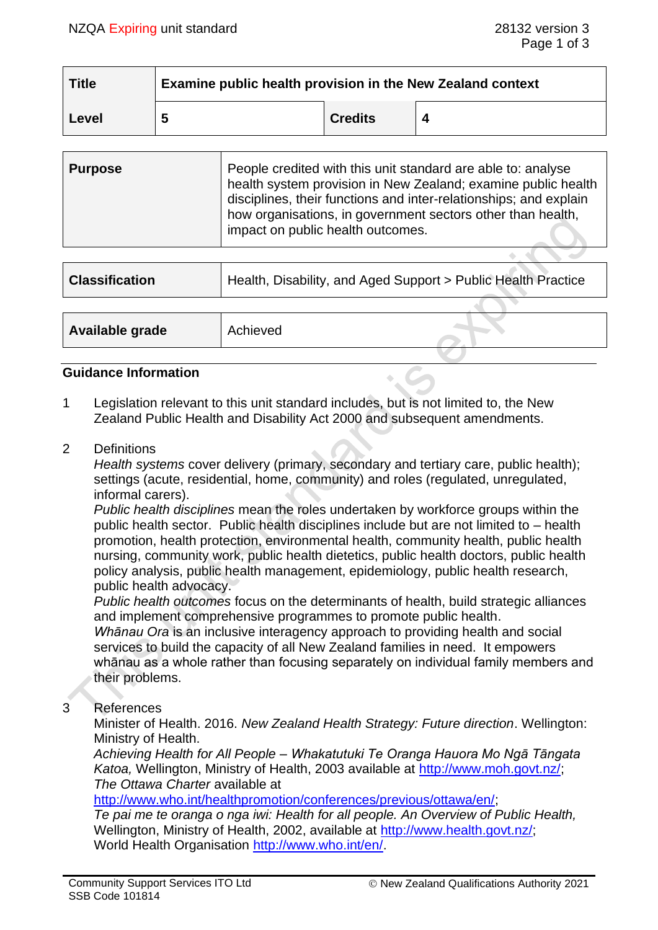$\sim$   $\sim$   $\sim$ 

| <b>Title</b> | Examine public health provision in the New Zealand context |                |  |  |
|--------------|------------------------------------------------------------|----------------|--|--|
| Level        |                                                            | <b>Credits</b> |  |  |

| People credited with this unit standard are able to: analyse<br><b>Purpose</b><br>health system provision in New Zealand; examine public health<br>disciplines, their functions and inter-relationships; and explain<br>how organisations, in government sectors other than health,<br>impact on public health outcomes. |
|--------------------------------------------------------------------------------------------------------------------------------------------------------------------------------------------------------------------------------------------------------------------------------------------------------------------------|
|--------------------------------------------------------------------------------------------------------------------------------------------------------------------------------------------------------------------------------------------------------------------------------------------------------------------------|

| <b>Classification</b> | Health, Disability, and Aged Support > Public Health Practice |  |
|-----------------------|---------------------------------------------------------------|--|
|                       |                                                               |  |
| Available grade       | Achieved                                                      |  |

#### **Guidance Information**

- 1 Legislation relevant to this unit standard includes, but is not limited to, the New Zealand Public Health and Disability Act 2000 and subsequent amendments.
- 2 Definitions

*Health systems* cover delivery (primary, secondary and tertiary care, public health); settings (acute, residential, home, community) and roles (regulated, unregulated, informal carers).

*Public health disciplines* mean the roles undertaken by workforce groups within the public health sector. Public health disciplines include but are not limited to – health promotion, health protection, environmental health, community health, public health nursing, community work, public health dietetics, public health doctors, public health policy analysis, public health management, epidemiology, public health research, public health advocacy.

*Public health outcomes* focus on the determinants of health, build strategic alliances and implement comprehensive programmes to promote public health.

*Whānau Ora* is an inclusive interagency approach to providing health and social services to build the capacity of all New Zealand families in need. It empowers whānau as a whole rather than focusing separately on individual family members and their problems.

3 References

Minister of Health. 2016. *New Zealand Health Strategy: Future direction*. Wellington: Ministry of Health.

*Achieving Health for All People – Whakatutuki Te Oranga Hauora Mo Ngā Tāngata Katoa,* Wellington, Ministry of Health, 2003 available at [http://www.moh.govt.nz/;](http://www.moh.govt.nz/) *The Ottawa Charter* available at

[http://www.who.int/healthpromotion/conferences/previous/ottawa/en/;](http://www.who.int/healthpromotion/conferences/previous/ottawa/en/)

*Te pai me te oranga o nga iwi: Health for all people. An Overview of Public Health,* Wellington, Ministry of Health, 2002, available at [http://www.health.govt.nz/;](http://www.health.govt.nz/) World Health Organisation [http://www.who.int/en/.](http://www.who.int/en/)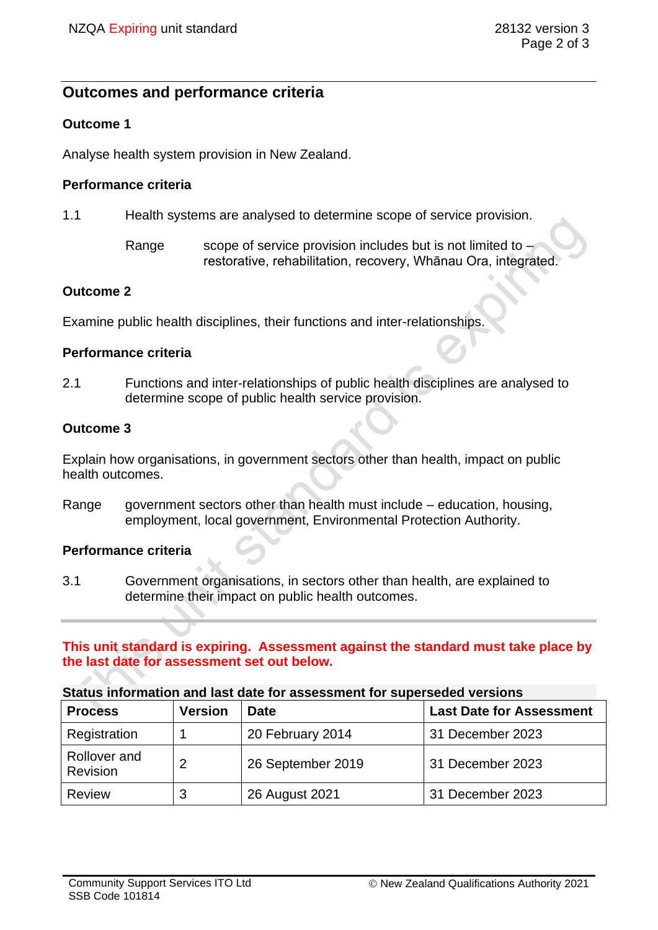# **Outcomes and performance criteria**

## **Outcome 1**

Analyse health system provision in New Zealand.

### **Performance criteria**

- 1.1 Health systems are analysed to determine scope of service provision.
	- Range scope of service provision includes but is not limited to restorative, rehabilitation, recovery, Whānau Ora, integrated.

## **Outcome 2**

Examine public health disciplines, their functions and inter-relationships.

#### **Performance criteria**

2.1 Functions and inter-relationships of public health disciplines are analysed to determine scope of public health service provision.

#### **Outcome 3**

Explain how organisations, in government sectors other than health, impact on public health outcomes.

Range government sectors other than health must include – education, housing, employment, local government, Environmental Protection Authority.

## **Performance criteria**

3.1 Government organisations, in sectors other than health, are explained to determine their impact on public health outcomes.

## **This unit standard is expiring. Assessment against the standard must take place by the last date for assessment set out below.**

#### **Status information and last date for assessment for superseded versions**

| <b>Process</b>           | <b>Version</b> | <b>Date</b>       | <b>Last Date for Assessment</b> |
|--------------------------|----------------|-------------------|---------------------------------|
| Registration             |                | 20 February 2014  | 31 December 2023                |
| Rollover and<br>Revision | 2              | 26 September 2019 | 31 December 2023                |
| <b>Review</b>            | 3              | 26 August 2021    | 31 December 2023                |